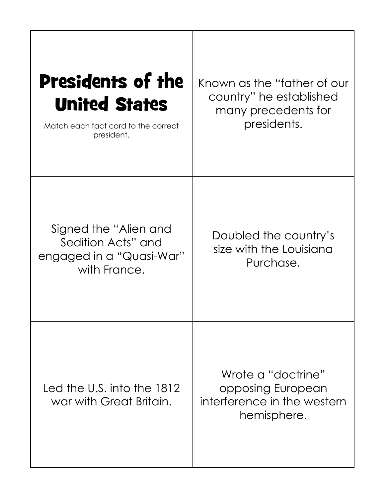| <b>Presidents of the</b><br><b>United States</b><br>Match each fact card to the correct<br>president. | Known as the "father of our<br>country" he established<br>many precedents for<br>presidents. |
|-------------------------------------------------------------------------------------------------------|----------------------------------------------------------------------------------------------|
| Signed the "Alien and<br>Sedition Acts" and<br>engaged in a "Quasi-War"<br>with France.               | Doubled the country's<br>size with the Louisiana<br>Purchase.                                |
| Led the U.S. into the 1812<br>war with Great Britain.                                                 | Wrote a "doctrine"<br>opposing European<br>interference in the western<br>hemisphere.        |

т

г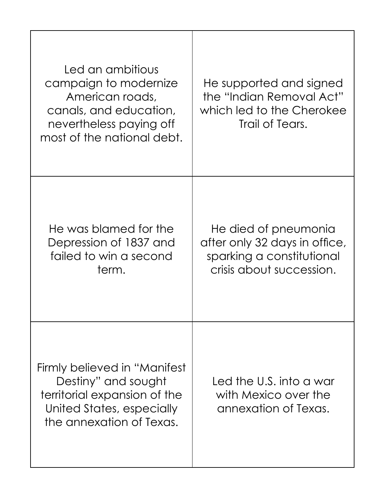| Led an ambitious<br>campaign to modernize<br>American roads,<br>canals, and education,<br>nevertheless paying off<br>most of the national debt. | He supported and signed<br>the "Indian Removal Act"<br>which led to the Cherokee<br>Trail of Tears.            |
|-------------------------------------------------------------------------------------------------------------------------------------------------|----------------------------------------------------------------------------------------------------------------|
| He was blamed for the<br>Depression of 1837 and<br>failed to win a second<br>term.                                                              | He died of pneumonia<br>after only 32 days in office,<br>sparking a constitutional<br>crisis about succession. |
| Firmly believed in "Manifest"<br>Destiny" and sought<br>territorial expansion of the<br>United States, especially<br>the annexation of Texas.   | Led the U.S. into a war<br>with Mexico over the<br>annexation of Texas.                                        |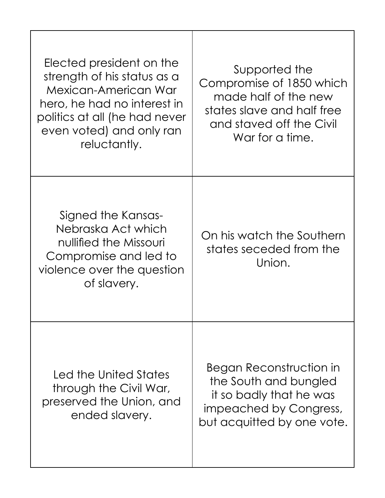| Elected president on the<br>strength of his status as a<br>Mexican-American War<br>hero, he had no interest in<br>politics at all (he had never<br>even voted) and only ran<br>reluctantly. | Supported the<br>Compromise of 1850 which<br>made half of the new<br>states slave and half free<br>and staved off the Civil<br>War for a time. |
|---------------------------------------------------------------------------------------------------------------------------------------------------------------------------------------------|------------------------------------------------------------------------------------------------------------------------------------------------|
| Signed the Kansas-<br>Nebraska Act which<br>nullified the Missouri<br>Compromise and led to<br>violence over the question<br>of slavery.                                                    | On his watch the Southern<br>states seceded from the<br>Union.                                                                                 |
| Led the United States<br>through the Civil War,<br>preserved the Union, and<br>ended slavery.                                                                                               | Began Reconstruction in<br>the South and bungled<br>it so badly that he was<br>impeached by Congress,<br>but acquitted by one vote.            |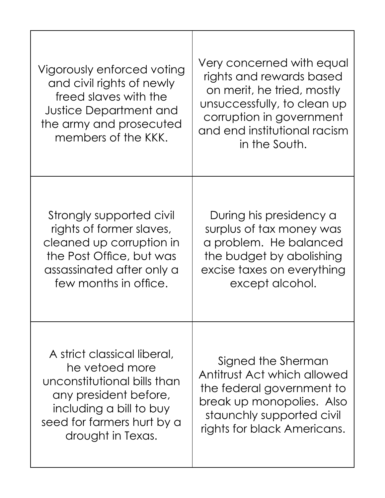| Vigorously enforced voting<br>and civil rights of newly<br>freed slaves with the<br><b>Justice Department and</b><br>the army and prosecuted<br>members of the KKK.                 | Very concerned with equal<br>rights and rewards based<br>on merit, he tried, mostly<br>unsuccessfully, to clean up<br>corruption in government<br>and end institutional racism<br>in the South. |
|-------------------------------------------------------------------------------------------------------------------------------------------------------------------------------------|-------------------------------------------------------------------------------------------------------------------------------------------------------------------------------------------------|
| Strongly supported civil<br>rights of former slaves,<br>cleaned up corruption in<br>the Post Office, but was<br>assassinated after only a<br>few months in office.                  | During his presidency a<br>surplus of tax money was<br>a problem. He balanced<br>the budget by abolishing<br>excise taxes on everything<br>except alcohol.                                      |
| A strict classical liberal,<br>he vetoed more<br>unconstitutional bills than<br>any president before,<br>including a bill to buy<br>seed for farmers hurt by a<br>drought in Texas. | Signed the Sherman<br>Antitrust Act which allowed<br>the federal government to<br>break up monopolies. Also<br>staunchly supported civil<br>rights for black Americans.                         |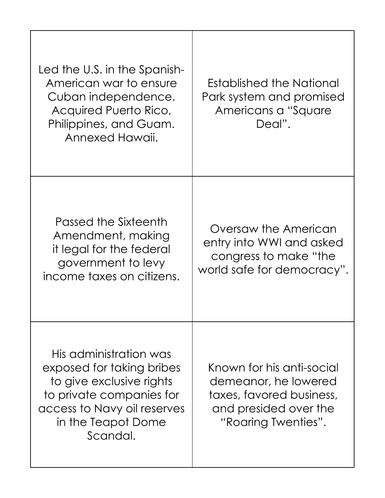| Led the U.S. in the Spanish-<br>American war to ensure<br>Cuban independence.<br>Acquired Puerto Rico,<br>Philippines, and Guam.<br>Annexed Hawaii.                          | Established the National<br>Park system and promised<br>Americans a "Square"<br>Deal".                                        |
|------------------------------------------------------------------------------------------------------------------------------------------------------------------------------|-------------------------------------------------------------------------------------------------------------------------------|
| Passed the Sixteenth<br>Amendment, making<br>it legal for the federal<br>government to levy<br>income taxes on citizens.                                                     | Oversaw the American<br>entry into WWI and asked<br>congress to make "the<br>world safe for democracy".                       |
| His administration was<br>exposed for taking bribes<br>to give exclusive rights<br>to private companies for<br>access to Navy oil reserves<br>in the Teapot Dome<br>Scandal. | Known for his anti-social<br>demeanor, he lowered<br>taxes, favored business,<br>and presided over the<br>"Roaring Twenties". |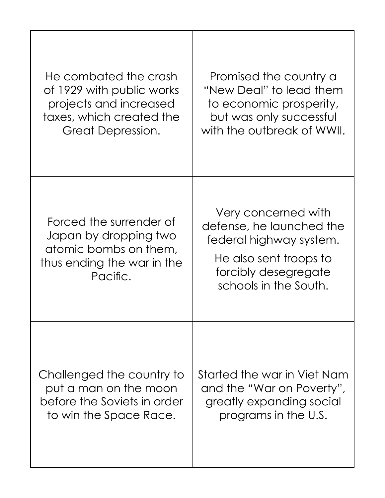| He combated the crash                                                                                               | Promised the country a                                                                                                                                |
|---------------------------------------------------------------------------------------------------------------------|-------------------------------------------------------------------------------------------------------------------------------------------------------|
| of 1929 with public works                                                                                           | "New Deal" to lead them                                                                                                                               |
| projects and increased                                                                                              | to economic prosperity,                                                                                                                               |
| taxes, which created the                                                                                            | but was only successful                                                                                                                               |
| Great Depression.                                                                                                   | with the outbreak of WWII.                                                                                                                            |
| Forced the surrender of<br>Japan by dropping two<br>atomic bombs on them,<br>thus ending the war in the<br>Pacific. | Very concerned with<br>defense, he launched the<br>federal highway system.<br>He also sent troops to<br>forcibly desegregate<br>schools in the South. |
| Challenged the country to                                                                                           | Started the war in Viet Nam                                                                                                                           |
| put a man on the moon                                                                                               | and the "War on Poverty",                                                                                                                             |
| before the Soviets in order                                                                                         | greatly expanding social                                                                                                                              |
| to win the Space Race.                                                                                              | programs in the U.S.                                                                                                                                  |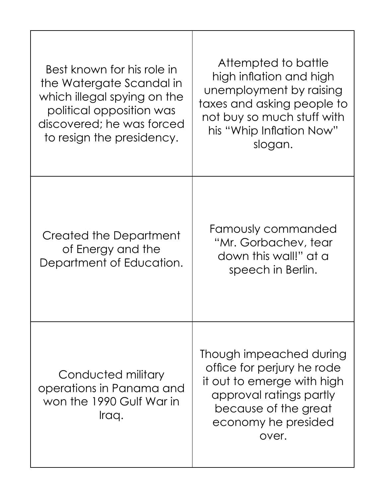| Best known for his role in<br>the Watergate Scandal in<br>which illegal spying on the<br>political opposition was<br>discovered; he was forced<br>to resign the presidency. | Attempted to battle<br>high inflation and high<br>unemployment by raising<br>taxes and asking people to<br>not buy so much stuff with<br>his "Whip Inflation Now"<br>slogan. |
|-----------------------------------------------------------------------------------------------------------------------------------------------------------------------------|------------------------------------------------------------------------------------------------------------------------------------------------------------------------------|
| Created the Department<br>of Energy and the<br>Department of Education.                                                                                                     | Famously commanded<br>"Mr. Gorbachev, tear<br>down this wall!" at a<br>speech in Berlin.                                                                                     |
| Conducted military<br>operations in Panama and<br>won the 1990 Gulf War in<br>Iraq.                                                                                         | Though impeached during<br>office for perjury he rode<br>it out to emerge with high<br>approval ratings partly<br>because of the great<br>economy he presided<br>over.       |